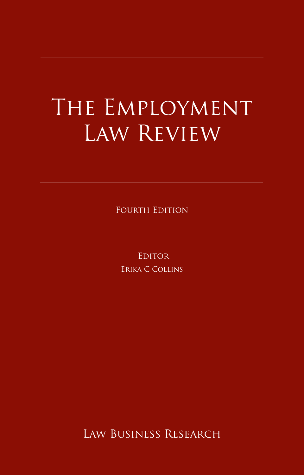# The Employment Law Review

FOURTH EDITION

**EDITOR** Erika C Collins

Law Business Research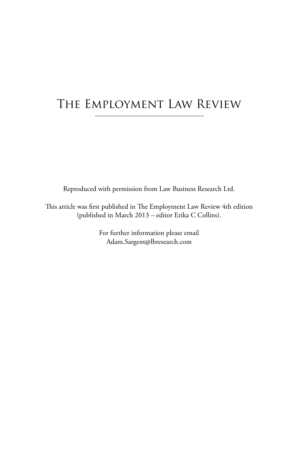# The Employment Law Review

Reproduced with permission from Law Business Research Ltd.

This article was first published in The Employment Law Review 4th edition (published in March 2013 – editor Erika C Collins).

> For further information please email Adam.Sargent@lbresearch.com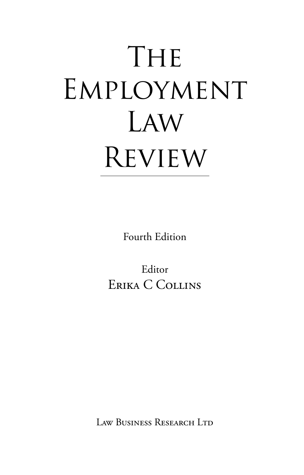# THE EMPLOYMENT Law **REVIEW**

Fourth Edition

Editor Erika C Collins

Law Business Research Ltd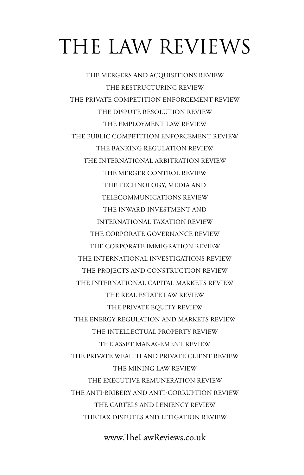# The Law Reviews

The Mergers and Acquisitions Review The Restructuring Review The Private Competition Enforcement Review The Dispute Resolution Review The Employment Law Review The Public Competition Enforcement Review The Banking Regulation Review The International Arbitration Review The Merger Control Review The Technology, Media and Telecommunications Review The Inward Investment and International Taxation Review The Corporate Governance Review The Corporate Immigration Review The International Investigations Review The Projects and Construction Review The International Capital Markets Review The Real Estate Law Review The Private Equity Review The Energy Regulation and Markets Review The intellectual property Review The asset management review THE PRIVATE WEALTH AND PRIVATE CLIENT REVIEW The mining law review the executive remuneration review The anti-bribery and anti-corruption review The Cartels and leniency review The Tax Disputes and Litigation review

www.TheLawReviews.co.uk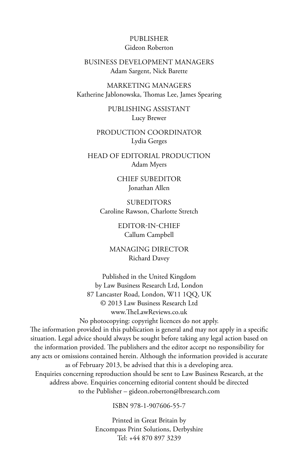## Publisher Gideon Roberton

## business development managerS Adam Sargent, Nick Barette

marketing managers Katherine Jablonowska, Thomas Lee, James Spearing

> publishing assistant Lucy Brewer

production coordinator Lydia Gerges

head of editorial production Adam Myers

> chief subeditor Jonathan Allen

**SUBEDITORS** Caroline Rawson, Charlotte Stretch

> editor-in-chief Callum Campbell

managing director Richard Davey

Published in the United Kingdom by Law Business Research Ltd, London 87 Lancaster Road, London, W11 1QQ, UK © 2013 Law Business Research Ltd www.TheLawReviews.co.uk

No photocopying: copyright licences do not apply. The information provided in this publication is general and may not apply in a specific situation. Legal advice should always be sought before taking any legal action based on the information provided. The publishers and the editor accept no responsibility for any acts or omissions contained herein. Although the information provided is accurate as of February 2013, be advised that this is a developing area. Enquiries concerning reproduction should be sent to Law Business Research, at the address above. Enquiries concerning editorial content should be directed to the Publisher – gideon.roberton@lbresearch.com

ISBN 978-1-907606-55-7

Printed in Great Britain by Encompass Print Solutions, Derbyshire Tel: +44 870 897 3239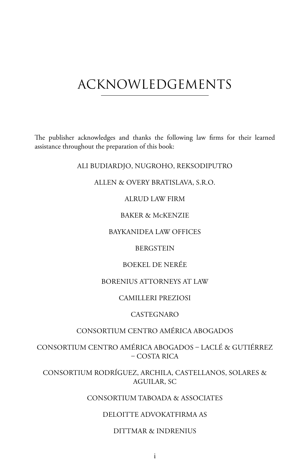# acknowledgements

The publisher acknowledges and thanks the following law firms for their learned assistance throughout the preparation of this book:

## Ali Budiardjo, Nugroho, Reksodiputro

#### Allen & Overy Bratislava, s.r.o.

#### Alrud Law Firm

## Baker & McKenzie

## Baykanidea Law Offices

## **BERGSTEIN**

## Boekel De Nerée

## Borenius Attorneys at Law

## Camilleri Preziosi

## **CASTEGNARO**

## Consortium Centro América Abogados

Consortium Centro América Abogados – Laclé & Gutiérrez – Costa Rica

Consortium Rodríguez, Archila, Castellanos, Solares & Aguilar, SC

## Consortium Taboada & Associates

## DELOITTE ADVOKATFIRMA AS

#### Dittmar & Indrenius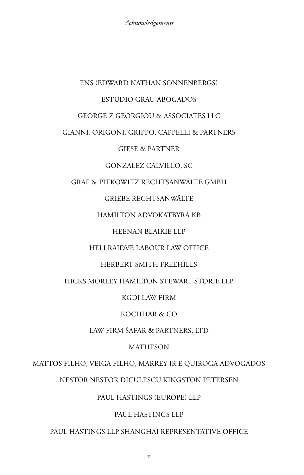# ENS (Edward Nathan Sonnenbergs) Estudio Grau Abogados George Z Georgiou & Associates LLC Gianni, Origoni, Grippo, Cappelli & Partners Giese & Partner Gonzalez Calvillo, SC Graf & Pitkowitz Rechtsanwälte GmbH GRIEBE RECHTSANWÄLTE Hamilton Advokatbyrå KB Heenan Blaikie LLP Heli Raidve Labour Law Office Herbert Smith Freehills Hicks Morley Hamilton Stewart Storie LLP KGDI Law Firm Kochhar & Co Law Firm Šafar & Partners, Ltd **MATHESON** Mattos Filho, Veiga Filho, Marrey Jr e Quiroga Advogados

Nestor Nestor Diculescu Kingston Petersen

## Paul Hastings (Europe) LLP

## Paul Hastings LLP

## Paul Hastings LLP Shanghai Representative Office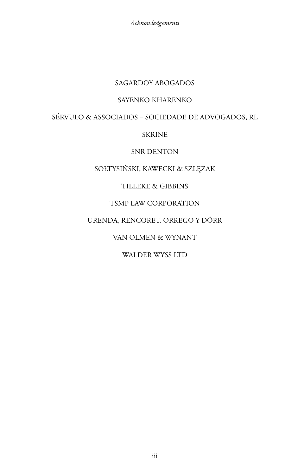## Sagardoy Abogados

## Sayenko Kharenko

## Sérvulo & Associados – Sociedade de Advogados, RL

## **SKRINE**

## SNR DENTON

## Sołtysiński, Kawecki & Szlęzak

## Tilleke & Gibbins

## TSMP Law Corporation

## Urenda, Rencoret, Orrego y Dörr

## Van Olmen & Wynant

## WALDER WYSS LTD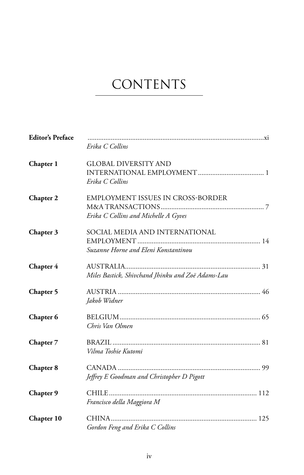# **CONTENTS**

| <b>Editor's Preface</b> | Erika C Collins                                                                  |
|-------------------------|----------------------------------------------------------------------------------|
| Chapter 1               | <b>GLOBAL DIVERSITY AND</b><br>Erika C Collins                                   |
| Chapter 2               | <b>EMPLOYMENT ISSUES IN CROSS-BORDER</b><br>Erika C Collins and Michelle A Gyves |
| Chapter 3               | SOCIAL MEDIA AND INTERNATIONAL<br>Suzanne Horne and Eleni Konstantinou           |
| Chapter 4               | Miles Bastick, Shivchand Jhinku and Zoë Adams-Lau                                |
| Chapter 5               | Jakob Widner                                                                     |
| Chapter 6               | Chris Van Olmen                                                                  |
| Chapter 7               | Vilma Toshie Kutomi                                                              |
| Chapter 8               | Jeffrey E Goodman and Christopher D Pigott                                       |
| Chapter 9               | Francisco della Maggiora M                                                       |
| Chapter 10              | Gordon Feng and Erika C Collins                                                  |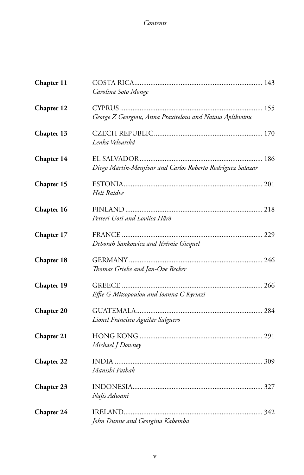| Chapter 11        |                                                            |
|-------------------|------------------------------------------------------------|
|                   | Carolina Soto Monge                                        |
| Chapter 12        | George Z Georgiou, Anna Praxitelous and Natasa Aplikiotou  |
| Chapter 13        | Lenka Velvarská                                            |
| Chapter 14        | Diego Martín-Menjívar and Carlos Roberto Rodríguez Salazar |
| Chapter 15        | Heli Raidve                                                |
| Chapter 16        | Petteri Uoti and Loviisa Härö                              |
| Chapter 17        | Deborah Sankowicz and Jérémie Gicquel                      |
| Chapter 18        | Thomas Griebe and Jan-Ove Becker                           |
| Chapter 19        | Effie G Mitsopoulou and Ioanna C Kyriazi                   |
| <b>Chapter 20</b> | Lionel Francisco Aguilar Salguero                          |
| Chapter 21        | Michael J Downey                                           |
| Chapter 22        | Manishi Pathak                                             |
| Chapter 23        | Nafis Adwani                                               |
| Chapter 24        | John Dunne and Georgina Kabemba                            |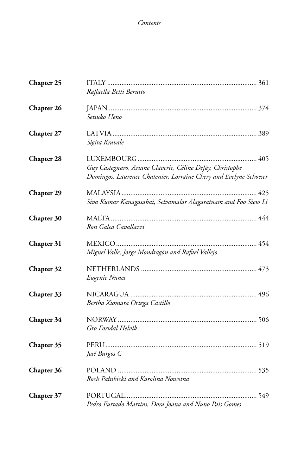| Chapter 25        |                                                                                                                                |
|-------------------|--------------------------------------------------------------------------------------------------------------------------------|
|                   | Raffaella Betti Berutto                                                                                                        |
| Chapter 26        |                                                                                                                                |
|                   | Setsuko Ueno                                                                                                                   |
| Chapter 27        |                                                                                                                                |
|                   | Sigita Kravale                                                                                                                 |
| Chapter 28        |                                                                                                                                |
|                   | Guy Castegnaro, Ariane Claverie, Céline Defay, Christophe<br>Domingos, Laurence Chatenier, Lorraine Chery and Evelyne Schoeser |
| <b>Chapter 29</b> |                                                                                                                                |
|                   | Siva Kumar Kanagasabai, Selvamalar Alagaratnam and Foo Siew Li                                                                 |
| <b>Chapter 30</b> |                                                                                                                                |
|                   | Ron Galea Cavallazzi                                                                                                           |
| Chapter 31        |                                                                                                                                |
|                   | Miguel Valle, Jorge Mondragón and Rafael Vallejo                                                                               |
| Chapter 32        |                                                                                                                                |
|                   | Eugenie Nunes                                                                                                                  |
| Chapter 33        |                                                                                                                                |
|                   | Bertha Xiomara Ortega Castillo                                                                                                 |
| Chapter 34        |                                                                                                                                |
|                   | Gro Forsdal Helvik                                                                                                             |
| Chapter 35        |                                                                                                                                |
|                   | José Burgos C                                                                                                                  |
| Chapter 36        |                                                                                                                                |
|                   | Roch Pałubicki and Karolina Nowotna                                                                                            |
| Chapter 37        |                                                                                                                                |
|                   | Pedro Furtado Martins, Dora Joana and Nuno Pais Gomes                                                                          |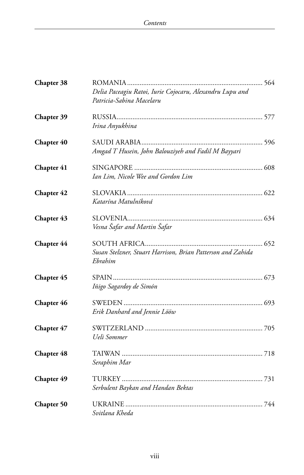| Chapter 38 | Delia Paceagiu Ratoi, Iurie Cojocaru, Alexandru Lupu and<br>Patricia-Sabina Macelaru |
|------------|--------------------------------------------------------------------------------------|
| Chapter 39 | Irina Anyukhina                                                                      |
| Chapter 40 | Amgad T Husein, John Balouziyeh and Fadil M Bayyari                                  |
| Chapter 41 | Ian Lim, Nicole Wee and Gordon Lim                                                   |
| Chapter 42 | Katarína Matulníková                                                                 |
| Chapter 43 | Vesna Šafar and Martin Šafar                                                         |
| Chapter 44 | Susan Stelzner, Stuart Harrison, Brian Patterson and Zahida<br>Ebrahim               |
| Chapter 45 | Iñigo Sagardoy de Simón                                                              |
| Chapter 46 | Erik Danhard and Jennie Lööw                                                         |
| Chapter 47 | Ueli Sommer                                                                          |
| Chapter 48 | Seraphim Mar                                                                         |
| Chapter 49 | Serbulent Baykan and Handan Bektas                                                   |
| Chapter 50 | Svitlana Kheda                                                                       |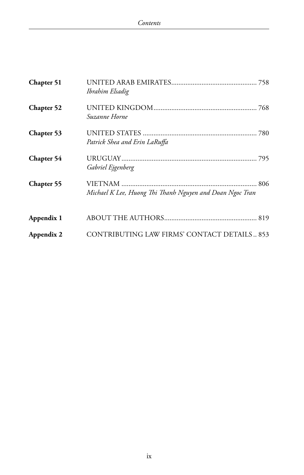| Chapter 51        | Ibrahim Elsadig                                          |
|-------------------|----------------------------------------------------------|
| Chapter 52        | Suzanne Horne                                            |
| Chapter 53        | Patrick Shea and Erin LaRuffa                            |
| Chapter 54        | Gabriel Ejgenberg                                        |
| <b>Chapter 55</b> | Michael K Lee, Huong Thi Thanh Nguyen and Doan Ngoc Tran |
| Appendix 1        |                                                          |
| Appendix 2        | CONTRIBUTING LAW FIRMS' CONTACT DETAILS 853              |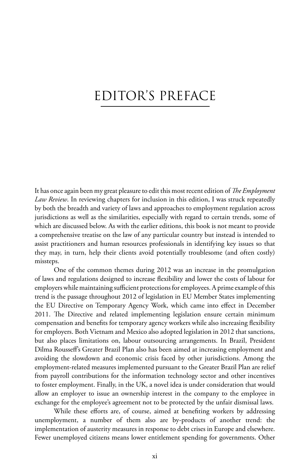# Editor's Preface

It has once again been my great pleasure to edit this most recent edition of *The Employment Law Review*. In reviewing chapters for inclusion in this edition, I was struck repeatedly by both the breadth and variety of laws and approaches to employment regulation across jurisdictions as well as the similarities, especially with regard to certain trends, some of which are discussed below. As with the earlier editions, this book is not meant to provide a comprehensive treatise on the law of any particular country but instead is intended to assist practitioners and human resources professionals in identifying key issues so that they may, in turn, help their clients avoid potentially troublesome (and often costly) missteps.

One of the common themes during 2012 was an increase in the promulgation of laws and regulations designed to increase flexibility and lower the costs of labour for employers while maintaining sufficient protections for employees. A prime example of this trend is the passage throughout 2012 of legislation in EU Member States implementing the EU Directive on Temporary Agency Work, which came into effect in December 2011. The Directive and related implementing legislation ensure certain minimum compensation and benefits for temporary agency workers while also increasing flexibility for employers. Both Vietnam and Mexico also adopted legislation in 2012 that sanctions, but also places limitations on, labour outsourcing arrangements. In Brazil, President Dilma Rousseff's Greater Brazil Plan also has been aimed at increasing employment and avoiding the slowdown and economic crisis faced by other jurisdictions. Among the employment-related measures implemented pursuant to the Greater Brazil Plan are relief from payroll contributions for the information technology sector and other incentives to foster employment. Finally, in the UK, a novel idea is under consideration that would allow an employer to issue an ownership interest in the company to the employee in exchange for the employee's agreement not to be protected by the unfair dismissal laws.

While these efforts are, of course, aimed at benefiting workers by addressing unemployment, a number of them also are by-products of another trend: the implementation of austerity measures in response to debt crises in Europe and elsewhere. Fewer unemployed citizens means lower entitlement spending for governments. Other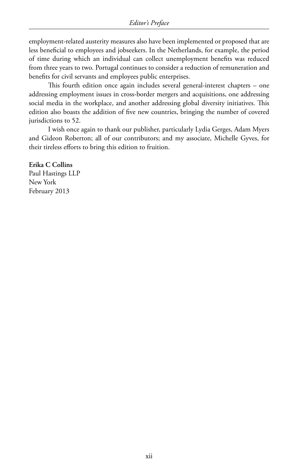employment-related austerity measures also have been implemented or proposed that are less beneficial to employees and jobseekers. In the Netherlands, for example, the period of time during which an individual can collect unemployment benefits was reduced from three years to two. Portugal continues to consider a reduction of remuneration and benefits for civil servants and employees public enterprises.

This fourth edition once again includes several general-interest chapters – one addressing employment issues in cross-border mergers and acquisitions, one addressing social media in the workplace, and another addressing global diversity initiatives. This edition also boasts the addition of five new countries, bringing the number of covered jurisdictions to 52.

I wish once again to thank our publisher, particularly Lydia Gerges, Adam Myers and Gideon Roberton; all of our contributors; and my associate, Michelle Gyves, for their tireless efforts to bring this edition to fruition.

**Erika C Collins** Paul Hastings LLP New York February 2013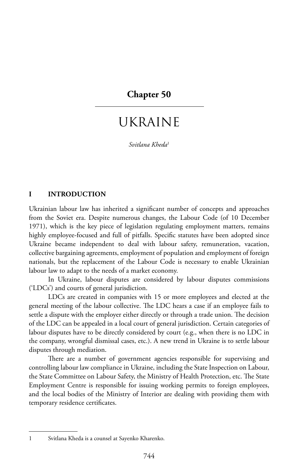## **Chapter 50**

## Ukraine

*Svitlana Kheda*<sup>1</sup>

#### **I INTRODUCTION**

Ukrainian labour law has inherited a significant number of concepts and approaches from the Soviet era. Despite numerous changes, the Labour Code (of 10 December 1971), which is the key piece of legislation regulating employment matters, remains highly employee-focused and full of pitfalls. Specific statutes have been adopted since Ukraine became independent to deal with labour safety, remuneration, vacation, collective bargaining agreements, employment of population and employment of foreign nationals, but the replacement of the Labour Code is necessary to enable Ukrainian labour law to adapt to the needs of a market economy.

In Ukraine, labour disputes are considered by labour disputes commissions ('LDCs') and courts of general jurisdiction.

LDCs are created in companies with 15 or more employees and elected at the general meeting of the labour collective. The LDC hears a case if an employee fails to settle a dispute with the employer either directly or through a trade union. The decision of the LDC can be appealed in a local court of general jurisdiction. Certain categories of labour disputes have to be directly considered by court (e.g., when there is no LDC in the company, wrongful dismissal cases, etc.). A new trend in Ukraine is to settle labour disputes through mediation.

There are a number of government agencies responsible for supervising and controlling labour law compliance in Ukraine, including the State Inspection on Labour, the State Committee on Labour Safety, the Ministry of Health Protection, etc. The State Employment Centre is responsible for issuing working permits to foreign employees, and the local bodies of the Ministry of Interior are dealing with providing them with temporary residence certificates.

<sup>1</sup> Svitlana Kheda is a counsel at Sayenko Kharenko.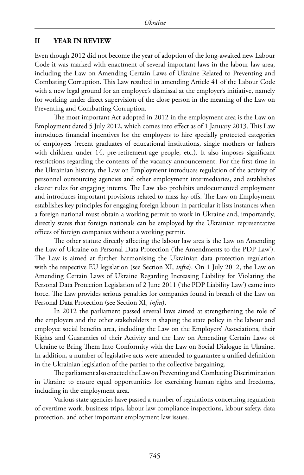#### **II YEAR IN REVIEW**

Even though 2012 did not become the year of adoption of the long-awaited new Labour Code it was marked with enactment of several important laws in the labour law area, including the Law on Amending Certain Laws of Ukraine Related to Preventing and Combating Corruption. This Law resulted in amending Article 41 of the Labour Code with a new legal ground for an employee's dismissal at the employer's initiative, namely for working under direct supervision of the close person in the meaning of the Law on Preventing and Combatting Corruption.

The most important Act adopted in 2012 in the employment area is the Law on Employment dated 5 July 2012, which comes into effect as of 1 January 2013. This Law introduces financial incentives for the employers to hire specially protected categories of employees (recent graduates of educational institutions, single mothers or fathers with children under 14, pre-retirement-age people, etc.). It also imposes significant restrictions regarding the contents of the vacancy announcement. For the first time in the Ukrainian history, the Law on Employment introduces regulation of the activity of personnel outsourcing agencies and other employment intermediaries, and establishes clearer rules for engaging interns. The Law also prohibits undocumented employment and introduces important provisions related to mass lay-offs. The Law on Employment establishes key principles for engaging foreign labour; in particular it lists instances when a foreign national must obtain a working permit to work in Ukraine and, importantly, directly states that foreign nationals can be employed by the Ukrainian representative offices of foreign companies without a working permit.

The other statute directly affecting the labour law area is the Law on Amending the Law of Ukraine on Personal Data Protection ('the Amendments to the PDP Law'). The Law is aimed at further harmonising the Ukrainian data protection regulation with the respective EU legislation (see Section XI, *infra*). On 1 July 2012, the Law on Amending Certain Laws of Ukraine Regarding Increasing Liability for Violating the Personal Data Protection Legislation of 2 June 2011 ('the PDP Liability Law') came into force. The Law provides serious penalties for companies found in breach of the Law on Personal Data Protection (see Section XI, *infra*).

In 2012 the parliament passed several laws aimed at strengthening the role of the employers and the other stakeholders in shaping the state policy in the labour and employee social benefits area, including the Law on the Employers' Associations, their Rights and Guaranties of their Activity and the Law on Amending Certain Laws of Ukraine to Bring Them Into Conformity with the Law on Social Dialogue in Ukraine. In addition, a number of legislative acts were amended to guarantee a unified definition in the Ukrainian legislation of the parties to the collective bargaining.

The parliament also enacted the Law on Preventing and Combating Discrimination in Ukraine to ensure equal opportunities for exercising human rights and freedoms, including in the employment area.

Various state agencies have passed a number of regulations concerning regulation of overtime work, business trips, labour law compliance inspections, labour safety, data protection, and other important employment law issues.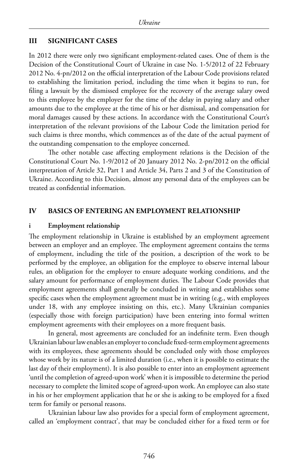#### **III SIGNIFICANT CASES**

In 2012 there were only two significant employment-related cases. One of them is the Decision of the Constitutional Court of Ukraine in case No. 1-5/2012 of 22 February 2012 No. 4-pn/2012 on the official interpretation of the Labour Code provisions related to establishing the limitation period, including the time when it begins to run, for filing a lawsuit by the dismissed employee for the recovery of the average salary owed to this employee by the employer for the time of the delay in paying salary and other amounts due to the employee at the time of his or her dismissal, and compensation for moral damages caused by these actions. In accordance with the Constitutional Court's interpretation of the relevant provisions of the Labour Code the limitation period for such claims is three months, which commences as of the date of the actual payment of the outstanding compensation to the employee concerned.

The other notable case affecting employment relations is the Decision of the Constitutional Court No. 1-9/2012 of 20 January 2012 No. 2-pn/2012 on the official interpretation of Article 32, Part 1 and Article 34, Parts 2 and 3 of the Constitution of Ukraine. According to this Decision, almost any personal data of the employees can be treated as confidential information.

#### **IV BASICS OF ENTERING AN EMPLOYMENT RELATIONSHIP**

#### **i Employment relationship**

The employment relationship in Ukraine is established by an employment agreement between an employer and an employee. The employment agreement contains the terms of employment, including the title of the position, a description of the work to be performed by the employee, an obligation for the employee to observe internal labour rules, an obligation for the employer to ensure adequate working conditions, and the salary amount for performance of employment duties. The Labour Code provides that employment agreements shall generally be concluded in writing and establishes some specific cases when the employment agreement must be in writing (e.g., with employees under 18, with any employee insisting on this, etc.). Many Ukrainian companies (especially those with foreign participation) have been entering into formal written employment agreements with their employees on a more frequent basis.

In general, most agreements are concluded for an indefinite term. Even though Ukrainian labour law enables an employer to conclude fixed-term employment agreements with its employees, these agreements should be concluded only with those employees whose work by its nature is of a limited duration (i.e., when it is possible to estimate the last day of their employment). It is also possible to enter into an employment agreement 'until the completion of agreed-upon work' when it is impossible to determine the period necessary to complete the limited scope of agreed-upon work. An employee can also state in his or her employment application that he or she is asking to be employed for a fixed term for family or personal reasons.

Ukrainian labour law also provides for a special form of employment agreement, called an 'employment contract', that may be concluded either for a fixed term or for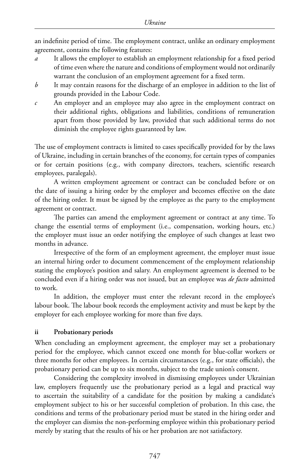an indefinite period of time. The employment contract, unlike an ordinary employment agreement, contains the following features:

- *a* It allows the employer to establish an employment relationship for a fixed period of time even where the nature and conditions of employment would not ordinarily warrant the conclusion of an employment agreement for a fixed term.
- *b* It may contain reasons for the discharge of an employee in addition to the list of grounds provided in the Labour Code.
- *c* An employer and an employee may also agree in the employment contract on their additional rights, obligations and liabilities, conditions of remuneration apart from those provided by law, provided that such additional terms do not diminish the employee rights guaranteed by law.

The use of employment contracts is limited to cases specifically provided for by the laws of Ukraine, including in certain branches of the economy, for certain types of companies or for certain positions (e.g., with company directors, teachers, scientific research employees, paralegals).

A written employment agreement or contract can be concluded before or on the date of issuing a hiring order by the employer and becomes effective on the date of the hiring order. It must be signed by the employee as the party to the employment agreement or contract.

The parties can amend the employment agreement or contract at any time. To change the essential terms of employment (i.e., compensation, working hours, etc.) the employer must issue an order notifying the employee of such changes at least two months in advance.

Irrespective of the form of an employment agreement, the employer must issue an internal hiring order to document commencement of the employment relationship stating the employee's position and salary. An employment agreement is deemed to be concluded even if a hiring order was not issued, but an employee was *de facto* admitted to work.

In addition, the employer must enter the relevant record in the employee's labour book. The labour book records the employment activity and must be kept by the employer for each employee working for more than five days.

## **ii Probationary periods**

When concluding an employment agreement, the employer may set a probationary period for the employee, which cannot exceed one month for blue-collar workers or three months for other employees. In certain circumstances (e.g., for state officials), the probationary period can be up to six months, subject to the trade union's consent.

Considering the complexity involved in dismissing employees under Ukrainian law, employers frequently use the probationary period as a legal and practical way to ascertain the suitability of a candidate for the position by making a candidate's employment subject to his or her successful completion of probation. In this case, the conditions and terms of the probationary period must be stated in the hiring order and the employer can dismiss the non-performing employee within this probationary period merely by stating that the results of his or her probation are not satisfactory.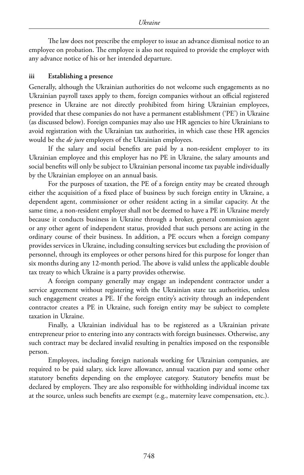The law does not prescribe the employer to issue an advance dismissal notice to an employee on probation. The employee is also not required to provide the employer with any advance notice of his or her intended departure.

## **iii Establishing a presence**

Generally, although the Ukrainian authorities do not welcome such engagements as no Ukrainian payroll taxes apply to them, foreign companies without an official registered presence in Ukraine are not directly prohibited from hiring Ukrainian employees, provided that these companies do not have a permanent establishment ('PE') in Ukraine (as discussed below). Foreign companies may also use HR agencies to hire Ukrainians to avoid registration with the Ukrainian tax authorities, in which case these HR agencies would be the *de jure* employers of the Ukrainian employees.

If the salary and social benefits are paid by a non-resident employer to its Ukrainian employee and this employer has no PE in Ukraine, the salary amounts and social benefits will only be subject to Ukrainian personal income tax payable individually by the Ukrainian employee on an annual basis.

For the purposes of taxation, the PE of a foreign entity may be created through either the acquisition of a fixed place of business by such foreign entity in Ukraine, a dependent agent, commissioner or other resident acting in a similar capacity. At the same time, a non-resident employer shall not be deemed to have a PE in Ukraine merely because it conducts business in Ukraine through a broker, general commission agent or any other agent of independent status, provided that such persons are acting in the ordinary course of their business. In addition, a PE occurs when a foreign company provides services in Ukraine, including consulting services but excluding the provision of personnel, through its employees or other persons hired for this purpose for longer than six months during any 12-month period. The above is valid unless the applicable double tax treaty to which Ukraine is a party provides otherwise.

A foreign company generally may engage an independent contractor under a service agreement without registering with the Ukrainian state tax authorities, unless such engagement creates a PE. If the foreign entity's activity through an independent contractor creates a PE in Ukraine, such foreign entity may be subject to complete taxation in Ukraine.

Finally, a Ukrainian individual has to be registered as a Ukrainian private entrepreneur prior to entering into any contracts with foreign businesses. Otherwise, any such contract may be declared invalid resulting in penalties imposed on the responsible person.

Employees, including foreign nationals working for Ukrainian companies, are required to be paid salary, sick leave allowance, annual vacation pay and some other statutory benefits depending on the employee category. Statutory benefits must be declared by employers. They are also responsible for withholding individual income tax at the source, unless such benefits are exempt (e.g., maternity leave compensation, etc.).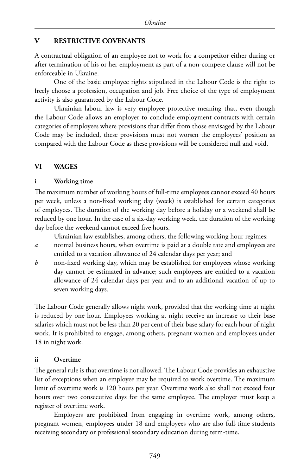## **V RESTRICTIVE COVENANTS**

A contractual obligation of an employee not to work for a competitor either during or after termination of his or her employment as part of a non-compete clause will not be enforceable in Ukraine.

One of the basic employee rights stipulated in the Labour Code is the right to freely choose a profession, occupation and job. Free choice of the type of employment activity is also guaranteed by the Labour Code.

Ukrainian labour law is very employee protective meaning that, even though the Labour Code allows an employer to conclude employment contracts with certain categories of employees where provisions that differ from those envisaged by the Labour Code may be included, these provisions must not worsen the employees' position as compared with the Labour Code as these provisions will be considered null and void.

## **VI WAGES**

## **i Working time**

The maximum number of working hours of full-time employees cannot exceed 40 hours per week, unless a non-fixed working day (week) is established for certain categories of employees. The duration of the working day before a holiday or a weekend shall be reduced by one hour. In the case of a six-day working week, the duration of the working day before the weekend cannot exceed five hours.

Ukrainian law establishes, among others, the following working hour regimes:

- *a* normal business hours, when overtime is paid at a double rate and employees are entitled to a vacation allowance of 24 calendar days per year; and
- *b* non-fixed working day, which may be established for employees whose working day cannot be estimated in advance; such employees are entitled to a vacation allowance of 24 calendar days per year and to an additional vacation of up to seven working days.

The Labour Code generally allows night work, provided that the working time at night is reduced by one hour. Employees working at night receive an increase to their base salaries which must not be less than 20 per cent of their base salary for each hour of night work. It is prohibited to engage, among others, pregnant women and employees under 18 in night work.

## **ii Overtime**

The general rule is that overtime is not allowed. The Labour Code provides an exhaustive list of exceptions when an employee may be required to work overtime. The maximum limit of overtime work is 120 hours per year. Overtime work also shall not exceed four hours over two consecutive days for the same employee. The employer must keep a register of overtime work.

Employers are prohibited from engaging in overtime work, among others, pregnant women, employees under 18 and employees who are also full-time students receiving secondary or professional secondary education during term-time.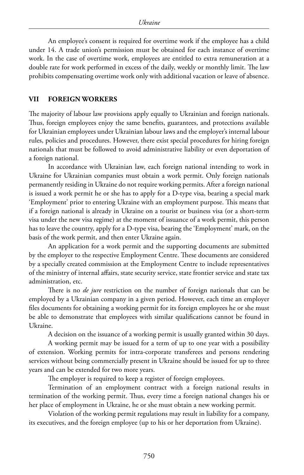An employee's consent is required for overtime work if the employee has a child under 14. A trade union's permission must be obtained for each instance of overtime work. In the case of overtime work, employees are entitled to extra remuneration at a double rate for work performed in excess of the daily, weekly or monthly limit. The law prohibits compensating overtime work only with additional vacation or leave of absence.

#### **VII FOREIGN WORKERS**

The majority of labour law provisions apply equally to Ukrainian and foreign nationals. Thus, foreign employees enjoy the same benefits, guarantees, and protections available for Ukrainian employees under Ukrainian labour laws and the employer's internal labour rules, policies and procedures. However, there exist special procedures for hiring foreign nationals that must be followed to avoid administrative liability or even deportation of a foreign national.

In accordance with Ukrainian law, each foreign national intending to work in Ukraine for Ukrainian companies must obtain a work permit. Only foreign nationals permanently residing in Ukraine do not require working permits. After a foreign national is issued a work permit he or she has to apply for a D-type visa, bearing a special mark 'Employment' prior to entering Ukraine with an employment purpose. This means that if a foreign national is already in Ukraine on a tourist or business visa (or a short-term visa under the new visa regime) at the moment of issuance of a work permit, this person has to leave the country, apply for a D-type visa, bearing the 'Employment' mark, on the basis of the work permit, and then enter Ukraine again.

An application for a work permit and the supporting documents are submitted by the employer to the respective Employment Centre. These documents are considered by a specially created commission at the Employment Centre to include representatives of the ministry of internal affairs, state security service, state frontier service and state tax administration, etc.

There is no *de jure* restriction on the number of foreign nationals that can be employed by a Ukrainian company in a given period. However, each time an employer files documents for obtaining a working permit for its foreign employees he or she must be able to demonstrate that employees with similar qualifications cannot be found in Ukraine.

A decision on the issuance of a working permit is usually granted within 30 days.

A working permit may be issued for a term of up to one year with a possibility of extension. Working permits for intra-corporate transferees and persons rendering services without being commercially present in Ukraine should be issued for up to three years and can be extended for two more years.

The employer is required to keep a register of foreign employees.

Termination of an employment contract with a foreign national results in termination of the working permit. Thus, every time a foreign national changes his or her place of employment in Ukraine, he or she must obtain a new working permit.

Violation of the working permit regulations may result in liability for a company, its executives, and the foreign employee (up to his or her deportation from Ukraine).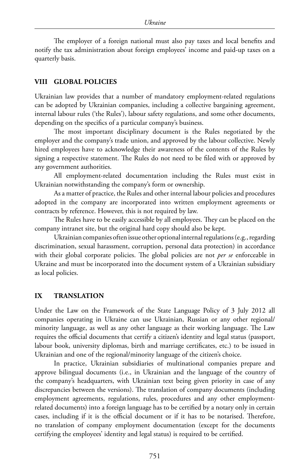The employer of a foreign national must also pay taxes and local benefits and notify the tax administration about foreign employees' income and paid-up taxes on a quarterly basis.

#### **VIII GLOBAL POLICIES**

Ukrainian law provides that a number of mandatory employment-related regulations can be adopted by Ukrainian companies, including a collective bargaining agreement, internal labour rules ('the Rules'), labour safety regulations, and some other documents, depending on the specifics of a particular company's business.

The most important disciplinary document is the Rules negotiated by the employer and the company's trade union, and approved by the labour collective. Newly hired employees have to acknowledge their awareness of the contents of the Rules by signing a respective statement. The Rules do not need to be filed with or approved by any government authorities.

All employment-related documentation including the Rules must exist in Ukrainian notwithstanding the company's form or ownership.

As a matter of practice, the Rules and other internal labour policies and procedures adopted in the company are incorporated into written employment agreements or contracts by reference. However, this is not required by law.

The Rules have to be easily accessible by all employees. They can be placed on the company intranet site, but the original hard copy should also be kept.

Ukrainian companies often issue other optional internal regulations (e.g., regarding discrimination, sexual harassment, corruption, personal data protection) in accordance with their global corporate policies. The global policies are not *per se* enforceable in Ukraine and must be incorporated into the document system of a Ukrainian subsidiary as local policies.

#### **IX TRANSLATION**

Under the Law on the Framework of the State Language Policy of 3 July 2012 all companies operating in Ukraine can use Ukrainian, Russian or any other regional/ minority language, as well as any other language as their working language. The Law requires the official documents that certify a citizen's identity and legal status (passport, labour book, university diplomas, birth and marriage certificates, etc.) to be issued in Ukrainian and one of the regional/minority language of the citizen's choice.

In practice, Ukrainian subsidiaries of multinational companies prepare and approve bilingual documents (i.e., in Ukrainian and the language of the country of the company's headquarters, with Ukrainian text being given priority in case of any discrepancies between the versions). The translation of company documents (including employment agreements, regulations, rules, procedures and any other employmentrelated documents) into a foreign language has to be certified by a notary only in certain cases, including if it is the official document or if it has to be notarised. Therefore, no translation of company employment documentation (except for the documents certifying the employees' identity and legal status) is required to be certified.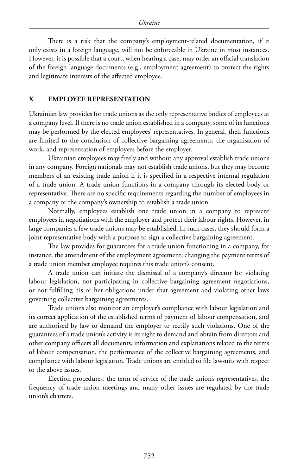There is a risk that the company's employment-related documentation, if it only exists in a foreign language, will not be enforceable in Ukraine in most instances. However, it is possible that a court, when hearing a case, may order an official translation of the foreign language documents (e.g., employment agreement) to protect the rights and legitimate interests of the affected employee.

## **X EMPLOYEE REPRESENTATION**

Ukrainian law provides for trade unions as the only representative bodies of employees at a company level. If there is no trade union established in a company, some of its functions may be performed by the elected employees' representatives. In general, their functions are limited to the conclusion of collective bargaining agreements, the organisation of work, and representation of employees before the employer.

Ukrainian employees may freely and without any approval establish trade unions in any company. Foreign nationals may not establish trade unions, but they may become members of an existing trade union if it is specified in a respective internal regulation of a trade union. A trade union functions in a company through its elected body or representative. There are no specific requirements regarding the number of employees in a company or the company's ownership to establish a trade union.

Normally, employees establish one trade union in a company to represent employees in negotiations with the employer and protect their labour rights. However, in large companies a few trade unions may be established. In such cases, they should form a joint representative body with a purpose to sign a collective bargaining agreement.

The law provides for guarantees for a trade union functioning in a company, for instance, the amendment of the employment agreement, changing the payment terms of a trade union member employee requires this trade union's consent.

A trade union can initiate the dismissal of a company's director for violating labour legislation, not participating in collective bargaining agreement negotiations, or not fulfilling his or her obligations under that agreement and violating other laws governing collective bargaining agreements.

Trade unions also monitor an employer's compliance with labour legislation and its correct application of the established terms of payment of labour compensation, and are authorised by law to demand the employer to rectify such violations. One of the guarantees of a trade union's activity is its right to demand and obtain from directors and other company officers all documents, information and explanations related to the terms of labour compensation, the performance of the collective bargaining agreements, and compliance with labour legislation. Trade unions are entitled to file lawsuits with respect to the above issues.

Election procedures, the term of service of the trade union's representatives, the frequency of trade union meetings and many other issues are regulated by the trade union's charters.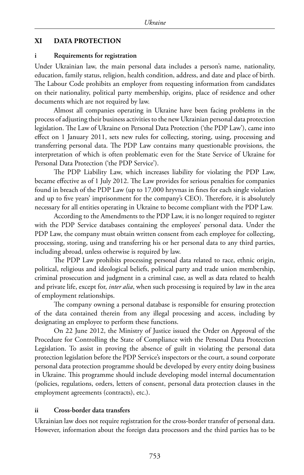## **XI DATA PROTECTION**

#### **i Requirements for registration**

Under Ukrainian law, the main personal data includes a person's name, nationality, education, family status, religion, health condition, address, and date and place of birth. The Labour Code prohibits an employer from requesting information from candidates on their nationality, political party membership, origins, place of residence and other documents which are not required by law.

Almost all companies operating in Ukraine have been facing problems in the process of adjusting their business activities to the new Ukrainian personal data protection legislation. The Law of Ukraine on Personal Data Protection ('the PDP Law'), came into effect on 1 January 2011, sets new rules for collecting, storing, using, processing and transferring personal data. The PDP Law contains many questionable provisions, the interpretation of which is often problematic even for the State Service of Ukraine for Personal Data Protection ('the PDP Service').

The PDP Liability Law, which increases liability for violating the PDP Law, became effective as of 1 July 2012. The Law provides for serious penalties for companies found in breach of the PDP Law (up to 17,000 hryvnas in fines for each single violation and up to five years' imprisonment for the company's CEO). Therefore, it is absolutely necessary for all entities operating in Ukraine to become compliant with the PDP Law.

According to the Amendments to the PDP Law, it is no longer required to register with the PDP Service databases containing the employees' personal data. Under the PDP Law, the company must obtain written consent from each employee for collecting, processing, storing, using and transferring his or her personal data to any third parties, including abroad, unless otherwise is required by law.

The PDP Law prohibits processing personal data related to race, ethnic origin, political, religious and ideological beliefs, political party and trade union membership, criminal prosecution and judgment in a criminal case, as well as data related to health and private life, except for, *inter alia*, when such processing is required by law in the area of employment relationships.

The company owning a personal database is responsible for ensuring protection of the data contained therein from any illegal processing and access, including by designating an employee to perform these functions.

On 22 June 2012, the Ministry of Justice issued the Order on Approval of the Procedure for Controlling the State of Compliance with the Personal Data Protection Legislation. To assist in proving the absence of guilt in violating the personal data protection legislation before the PDP Service's inspectors or the court, a sound corporate personal data protection programme should be developed by every entity doing business in Ukraine. This programme should include developing model internal documentation (policies, regulations, orders, letters of consent, personal data protection clauses in the employment agreements (contracts), etc.).

## **ii Cross-border data transfers**

Ukrainian law does not require registration for the cross-border transfer of personal data. However, information about the foreign data processors and the third parties has to be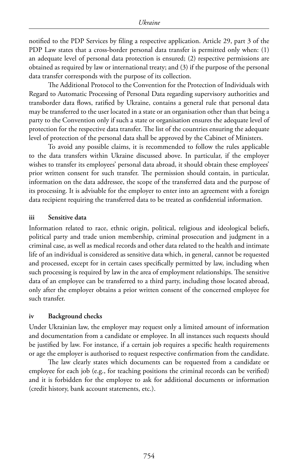notified to the PDP Services by filing a respective application. Article 29, part 3 of the PDP Law states that a cross-border personal data transfer is permitted only when: (1) an adequate level of personal data protection is ensured; (2) respective permissions are obtained as required by law or international treaty; and (3) if the purpose of the personal data transfer corresponds with the purpose of its collection.

The Additional Protocol to the Convention for the Protection of Individuals with Regard to Automatic Processing of Personal Data regarding supervisory authorities and transborder data flows, ratified by Ukraine, contains a general rule that personal data may be transferred to the user located in a state or an organisation other than that being a party to the Convention only if such a state or organisation ensures the adequate level of protection for the respective data transfer. The list of the countries ensuring the adequate level of protection of the personal data shall be approved by the Cabinet of Ministers.

To avoid any possible claims, it is recommended to follow the rules applicable to the data transfers within Ukraine discussed above. In particular, if the employer wishes to transfer its employees' personal data abroad, it should obtain these employees' prior written consent for such transfer. The permission should contain, in particular, information on the data addressee, the scope of the transferred data and the purpose of its processing. It is advisable for the employer to enter into an agreement with a foreign data recipient requiring the transferred data to be treated as confidential information.

#### **iii Sensitive data**

Information related to race, ethnic origin, political, religious and ideological beliefs, political party and trade union membership, criminal prosecution and judgment in a criminal case, as well as medical records and other data related to the health and intimate life of an individual is considered as sensitive data which, in general, cannot be requested and processed, except for in certain cases specifically permitted by law, including when such processing is required by law in the area of employment relationships. The sensitive data of an employee can be transferred to a third party, including those located abroad, only after the employer obtains a prior written consent of the concerned employee for such transfer.

## **iv Background checks**

Under Ukrainian law, the employer may request only a limited amount of information and documentation from a candidate or employee. In all instances such requests should be justified by law. For instance, if a certain job requires a specific health requirements or age the employer is authorised to request respective confirmation from the candidate.

The law clearly states which documents can be requested from a candidate or employee for each job (e.g., for teaching positions the criminal records can be verified) and it is forbidden for the employee to ask for additional documents or information (credit history, bank account statements, etc.).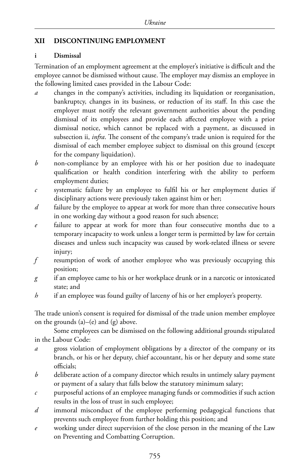## **XII DISCONTINUING EMPLOYMENT**

## **i Dismissal**

Termination of an employment agreement at the employer's initiative is difficult and the employee cannot be dismissed without cause. The employer may dismiss an employee in the following limited cases provided in the Labour Code:

- changes in the company's activities, including its liquidation or reorganisation, bankruptcy, changes in its business, or reduction of its staff. In this case the employer must notify the relevant government authorities about the pending dismissal of its employees and provide each affected employee with a prior dismissal notice, which cannot be replaced with a payment, as discussed in subsection ii, *infra*. The consent of the company's trade union is required for the dismissal of each member employee subject to dismissal on this ground (except for the company liquidation).
- *b* non-compliance by an employee with his or her position due to inadequate qualification or health condition interfering with the ability to perform employment duties;
- *c* systematic failure by an employee to fulfil his or her employment duties if disciplinary actions were previously taken against him or her;
- *d* failure by the employee to appear at work for more than three consecutive hours in one working day without a good reason for such absence;
- *e* failure to appear at work for more than four consecutive months due to a temporary incapacity to work unless a longer term is permitted by law for certain diseases and unless such incapacity was caused by work-related illness or severe injury;
- *f* resumption of work of another employee who was previously occupying this position;
- *g* if an employee came to his or her workplace drunk or in a narcotic or intoxicated state; and
- *h* if an employee was found guilty of larceny of his or her employer's property.

The trade union's consent is required for dismissal of the trade union member employee on the grounds  $(a)$ – $(e)$  and  $(g)$  above.

Some employees can be dismissed on the following additional grounds stipulated in the Labour Code:

- *a* gross violation of employment obligations by a director of the company or its branch, or his or her deputy, chief accountant, his or her deputy and some state officials;
- *b* deliberate action of a company director which results in untimely salary payment or payment of a salary that falls below the statutory minimum salary;
- *c* purposeful actions of an employee managing funds or commodities if such action results in the loss of trust in such employee;
- *d* immoral misconduct of the employee performing pedagogical functions that prevents such employee from further holding this position; and
- *e* working under direct supervision of the close person in the meaning of the Law on Preventing and Combatting Corruption.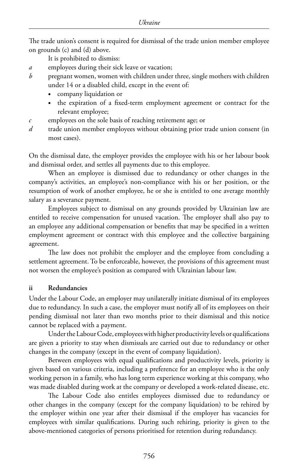The trade union's consent is required for dismissal of the trade union member employee on grounds (c) and (d) above.

It is prohibited to dismiss:

- *a* employees during their sick leave or vacation;
- *b* pregnant women, women with children under three, single mothers with children under 14 or a disabled child, except in the event of:
	- company liquidation or
	- the expiration of a fixed-term employment agreement or contract for the relevant employee;
- *c* employees on the sole basis of reaching retirement age; or
- *d* trade union member employees without obtaining prior trade union consent (in most cases).

On the dismissal date, the employer provides the employee with his or her labour book and dismissal order, and settles all payments due to this employee.

When an employee is dismissed due to redundancy or other changes in the company's activities, an employee's non-compliance with his or her position, or the resumption of work of another employee, he or she is entitled to one average monthly salary as a severance payment.

Employees subject to dismissal on any grounds provided by Ukrainian law are entitled to receive compensation for unused vacation. The employer shall also pay to an employee any additional compensation or benefits that may be specified in a written employment agreement or contract with this employee and the collective bargaining agreement.

The law does not prohibit the employer and the employee from concluding a settlement agreement. To be enforceable, however, the provisions of this agreement must not worsen the employee's position as compared with Ukrainian labour law.

## **ii Redundancies**

Under the Labour Code, an employer may unilaterally initiate dismissal of its employees due to redundancy. In such a case, the employer must notify all of its employees on their pending dismissal not later than two months prior to their dismissal and this notice cannot be replaced with a payment.

Under the Labour Code, employees with higher productivity levels or qualifications are given a priority to stay when dismissals are carried out due to redundancy or other changes in the company (except in the event of company liquidation).

Between employees with equal qualifications and productivity levels, priority is given based on various criteria, including a preference for an employee who is the only working person in a family, who has long term experience working at this company, who was made disabled during work at the company or developed a work-related disease, etc.

The Labour Code also entitles employees dismissed due to redundancy or other changes in the company (except for the company liquidation) to be rehired by the employer within one year after their dismissal if the employer has vacancies for employees with similar qualifications. During such rehiring, priority is given to the above-mentioned categories of persons prioritised for retention during redundancy.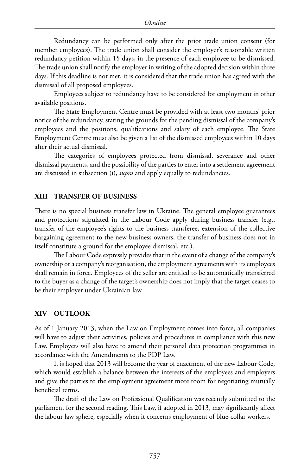Redundancy can be performed only after the prior trade union consent (for member employees). The trade union shall consider the employer's reasonable written redundancy petition within 15 days, in the presence of each employee to be dismissed. The trade union shall notify the employer in writing of the adopted decision within three days. If this deadline is not met, it is considered that the trade union has agreed with the dismissal of all proposed employees.

Employees subject to redundancy have to be considered for employment in other available positions.

The State Employment Centre must be provided with at least two months' prior notice of the redundancy, stating the grounds for the pending dismissal of the company's employees and the positions, qualifications and salary of each employee. The State Employment Centre must also be given a list of the dismissed employees within 10 days after their actual dismissal.

The categories of employees protected from dismissal, severance and other dismissal payments, and the possibility of the parties to enter into a settlement agreement are discussed in subsection (i), *supra* and apply equally to redundancies.

#### **XIII TRANSFER OF BUSINESS**

There is no special business transfer law in Ukraine. The general employee guarantees and protections stipulated in the Labour Code apply during business transfer (e.g., transfer of the employee's rights to the business transferee, extension of the collective bargaining agreement to the new business owners, the transfer of business does not in itself constitute a ground for the employee dismissal, etc.).

The Labour Code expressly provides that in the event of a change of the company's ownership or a company's reorganisation, the employment agreements with its employees shall remain in force. Employees of the seller are entitled to be automatically transferred to the buyer as a change of the target's ownership does not imply that the target ceases to be their employer under Ukrainian law.

#### **XIV OUTLOOK**

As of 1 January 2013, when the Law on Employment comes into force, all companies will have to adjust their activities, policies and procedures in compliance with this new Law. Employers will also have to amend their personal data protection programmes in accordance with the Amendments to the PDP Law.

It is hoped that 2013 will become the year of enactment of the new Labour Code, which would establish a balance between the interests of the employees and employers and give the parties to the employment agreement more room for negotiating mutually beneficial terms.

The draft of the Law on Professional Qualification was recently submitted to the parliament for the second reading. This Law, if adopted in 2013, may significantly affect the labour law sphere, especially when it concerns employment of blue-collar workers.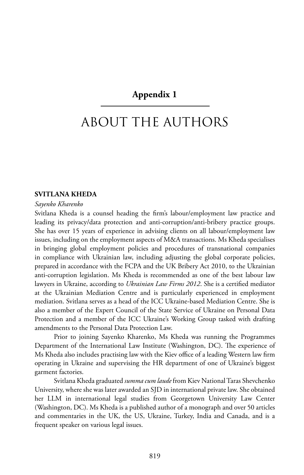## **Appendix 1**

## about the authors

## **Svitlana Kheda**

#### *Sayenko Kharenko*

Svitlana Kheda is a counsel heading the firm's labour/employment law practice and leading its privacy/data protection and anti-corruption/anti-bribery practice groups. She has over 15 years of experience in advising clients on all labour/employment law issues, including on the employment aspects of M&A transactions. Ms Kheda specialises in bringing global employment policies and procedures of transnational companies in compliance with Ukrainian law, including adjusting the global corporate policies, prepared in accordance with the FCPA and the UK Bribery Act 2010, to the Ukrainian anti-corruption legislation. Ms Kheda is recommended as one of the best labour law lawyers in Ukraine, according to *Ukrainian Law Firms 2012*. She is a certified mediator at the Ukrainian Mediation Centre and is particularly experienced in employment mediation. Svitlana serves as a head of the ICC Ukraine-based Mediation Centre. She is also a member of the Expert Council of the State Service of Ukraine on Personal Data Protection and a member of the ICC Ukraine's Working Group tasked with drafting amendments to the Personal Data Protection Law.

Prior to joining Sayenko Kharenko, Ms Kheda was running the Programmes Department of the International Law Institute (Washington, DC). The experience of Ms Kheda also includes practising law with the Kiev office of a leading Western law firm operating in Ukraine and supervising the HR department of one of Ukraine's biggest garment factories.

Svitlana Kheda graduated *summa cum laude* from Kiev National Taras Shevchenko University, where she was later awarded an SJD in international private law. She obtained her LLM in international legal studies from Georgetown University Law Center (Washington, DC). Ms Kheda is a published author of a monograph and over 50 articles and commentaries in the UK, the US, Ukraine, Turkey, India and Canada, and is a frequent speaker on various legal issues.